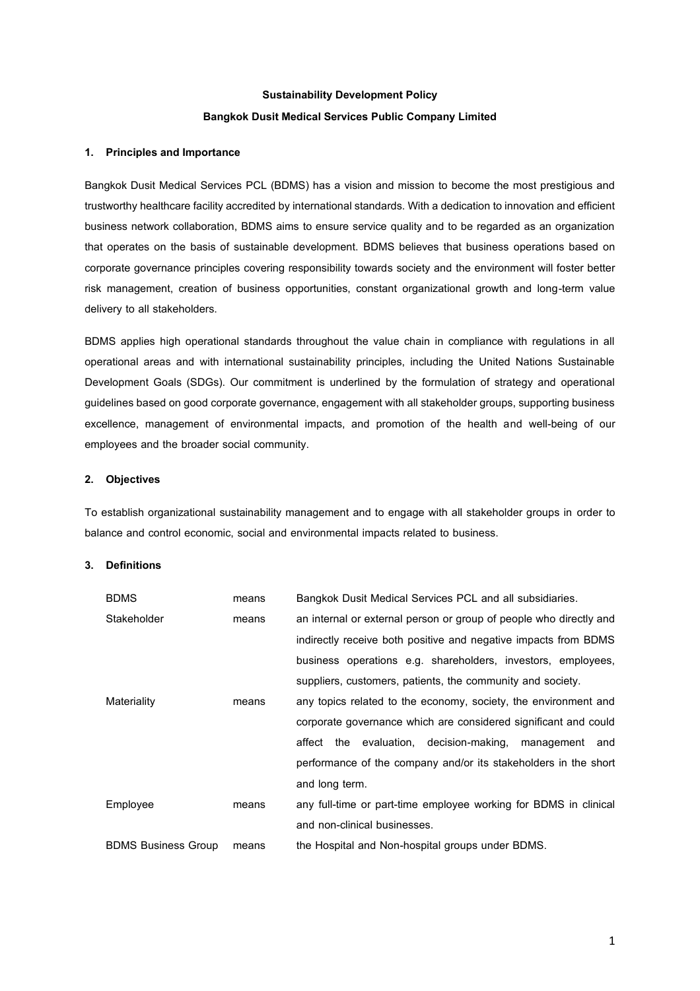# **Sustainability Development Policy Bangkok Dusit Medical Services Public Company Limited**

## **1. Principles and Importance**

Bangkok Dusit Medical Services PCL (BDMS) has a vision and mission to become the most prestigious and trustworthy healthcare facility accredited by international standards. With a dedication to innovation and efficient business network collaboration, BDMS aims to ensure service quality and to be regarded as an organization that operates on the basis of sustainable development. BDMS believes that business operations based on corporate governance principles covering responsibility towards society and the environment will foster better risk management, creation of business opportunities, constant organizational growth and long-term value delivery to all stakeholders.

BDMS applies high operational standards throughout the value chain in compliance with regulations in all operational areas and with international sustainability principles, including the United Nations Sustainable Development Goals (SDGs). Our commitment is underlined by the formulation of strategy and operational guidelines based on good corporate governance, engagement with all stakeholder groups, supporting business excellence, management of environmental impacts, and promotion of the health and well-being of our employees and the broader social community.

#### **2. Objectives**

To establish organizational sustainability management and to engage with all stakeholder groups in order to balance and control economic, social and environmental impacts related to business.

#### **3. Definitions**

| <b>BDMS</b>                | means | Bangkok Dusit Medical Services PCL and all subsidiaries.           |
|----------------------------|-------|--------------------------------------------------------------------|
| Stakeholder                | means | an internal or external person or group of people who directly and |
|                            |       | indirectly receive both positive and negative impacts from BDMS    |
|                            |       | business operations e.g. shareholders, investors, employees,       |
|                            |       | suppliers, customers, patients, the community and society.         |
| Materiality                | means | any topics related to the economy, society, the environment and    |
|                            |       | corporate governance which are considered significant and could    |
|                            |       | the evaluation, decision-making,<br>affect<br>management<br>and    |
|                            |       | performance of the company and/or its stakeholders in the short    |
|                            |       | and long term.                                                     |
| Employee                   | means | any full-time or part-time employee working for BDMS in clinical   |
|                            |       | and non-clinical businesses.                                       |
| <b>BDMS Business Group</b> | means | the Hospital and Non-hospital groups under BDMS.                   |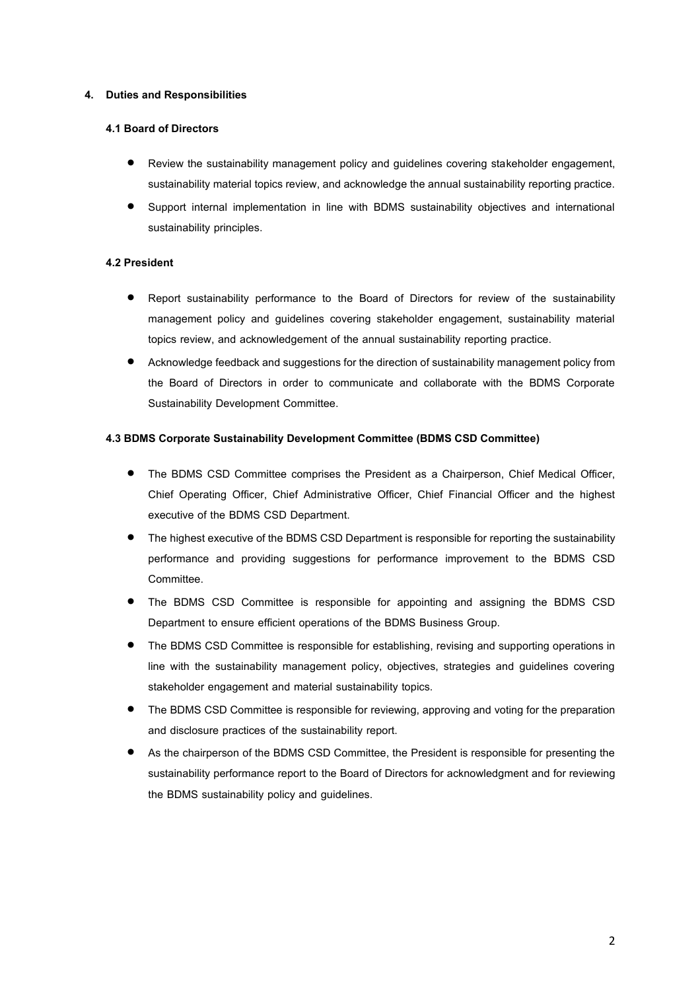## **4. Duties and Responsibilities**

## **4.1 Board of Directors**

- Review the sustainability management policy and guidelines covering stakeholder engagement, sustainability material topics review, and acknowledge the annual sustainability reporting practice.
- Support internal implementation in line with BDMS sustainability objectives and international sustainability principles.

# **4.2 President**

- Report sustainability performance to the Board of Directors for review of the sustainability management policy and guidelines covering stakeholder engagement, sustainability material topics review, and acknowledgement of the annual sustainability reporting practice.
- Acknowledge feedback and suggestions for the direction of sustainability management policy from the Board of Directors in order to communicate and collaborate with the BDMS Corporate Sustainability Development Committee.

# **4.3 BDMS Corporate Sustainability Development Committee (BDMS CSD Committee)**

- The BDMS CSD Committee comprises the President as a Chairperson, Chief Medical Officer, Chief Operating Officer, Chief Administrative Officer, Chief Financial Officer and the highest executive of the BDMS CSD Department.
- The highest executive of the BDMS CSD Department is responsible for reporting the sustainability performance and providing suggestions for performance improvement to the BDMS CSD Committee.
- The BDMS CSD Committee is responsible for appointing and assigning the BDMS CSD Department to ensure efficient operations of the BDMS Business Group.
- The BDMS CSD Committee is responsible for establishing, revising and supporting operations in line with the sustainability management policy, objectives, strategies and guidelines covering stakeholder engagement and material sustainability topics.
- The BDMS CSD Committee is responsible for reviewing, approving and voting for the preparation and disclosure practices of the sustainability report.
- As the chairperson of the BDMS CSD Committee, the President is responsible for presenting the sustainability performance report to the Board of Directors for acknowledgment and for reviewing the BDMS sustainability policy and guidelines.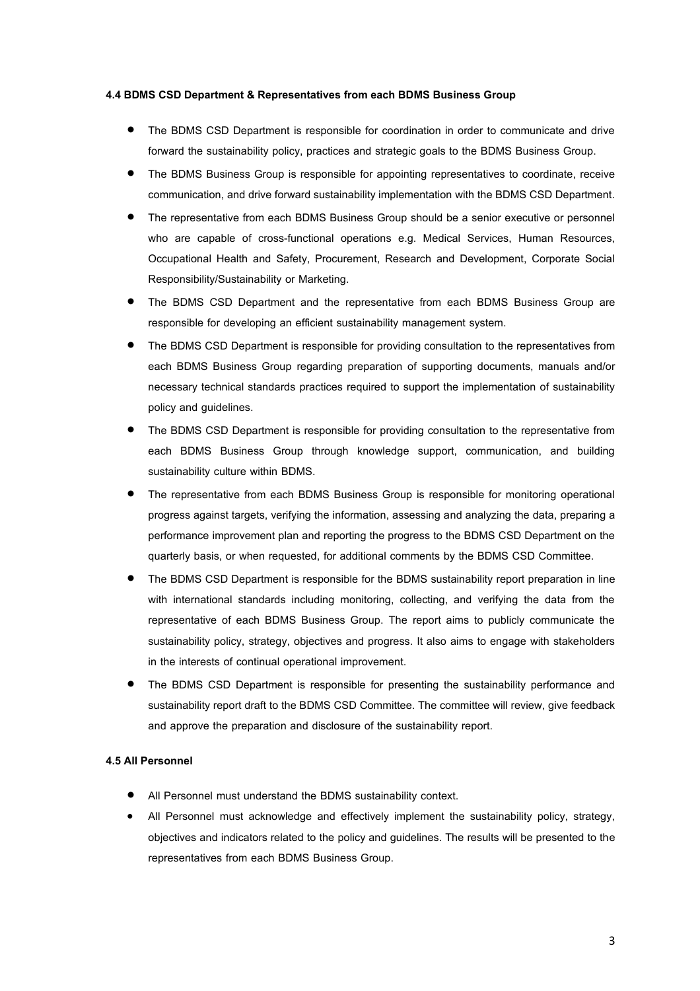#### **4.4 BDMS CSD Department & Representatives from each BDMS Business Group**

- The BDMS CSD Department is responsible for coordination in order to communicate and drive forward the sustainability policy, practices and strategic goals to the BDMS Business Group.
- The BDMS Business Group is responsible for appointing representatives to coordinate, receive communication, and drive forward sustainability implementation with the BDMS CSD Department.
- The representative from each BDMS Business Group should be a senior executive or personnel who are capable of cross-functional operations e.g. Medical Services, Human Resources, Occupational Health and Safety, Procurement, Research and Development, Corporate Social Responsibility/Sustainability or Marketing.
- The BDMS CSD Department and the representative from each BDMS Business Group are responsible for developing an efficient sustainability management system.
- The BDMS CSD Department is responsible for providing consultation to the representatives from each BDMS Business Group regarding preparation of supporting documents, manuals and/or necessary technical standards practices required to support the implementation of sustainability policy and guidelines.
- The BDMS CSD Department is responsible for providing consultation to the representative from each BDMS Business Group through knowledge support, communication, and building sustainability culture within BDMS.
- The representative from each BDMS Business Group is responsible for monitoring operational progress against targets, verifying the information, assessing and analyzing the data, preparing a performance improvement plan and reporting the progress to the BDMS CSD Department on the quarterly basis, or when requested, for additional comments by the BDMS CSD Committee.
- The BDMS CSD Department is responsible for the BDMS sustainability report preparation in line with international standards including monitoring, collecting, and verifying the data from the representative of each BDMS Business Group. The report aims to publicly communicate the sustainability policy, strategy, objectives and progress. It also aims to engage with stakeholders in the interests of continual operational improvement.
- The BDMS CSD Department is responsible for presenting the sustainability performance and sustainability report draft to the BDMS CSD Committee. The committee will review, give feedback and approve the preparation and disclosure of the sustainability report.

## **4.5 All Personnel**

- All Personnel must understand the BDMS sustainability context.
- All Personnel must acknowledge and effectively implement the sustainability policy, strategy, objectives and indicators related to the policy and guidelines. The results will be presented to the representatives from each BDMS Business Group.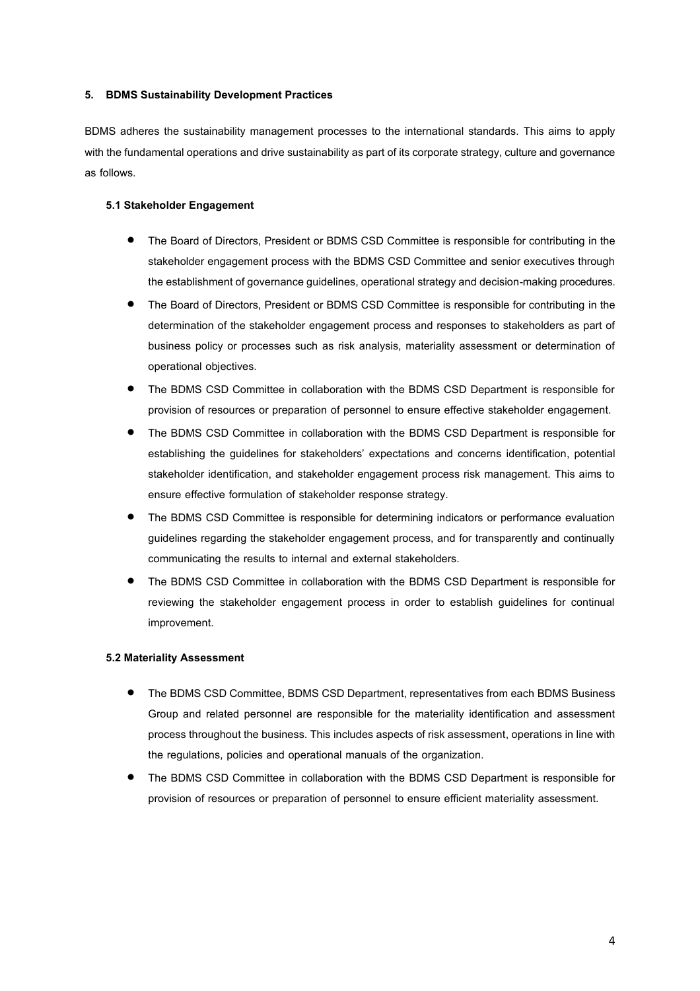## **5. BDMS Sustainability Development Practices**

BDMS adheres the sustainability management processes to the international standards. This aims to apply with the fundamental operations and drive sustainability as part of its corporate strategy, culture and governance as follows.

## **5.1 Stakeholder Engagement**

- The Board of Directors, President or BDMS CSD Committee is responsible for contributing in the stakeholder engagement process with the BDMS CSD Committee and senior executives through the establishment of governance guidelines, operational strategy and decision-making procedures.
- The Board of Directors, President or BDMS CSD Committee is responsible for contributing in the determination of the stakeholder engagement process and responses to stakeholders as part of business policy or processes such as risk analysis, materiality assessment or determination of operational objectives.
- The BDMS CSD Committee in collaboration with the BDMS CSD Department is responsible for provision of resources or preparation of personnel to ensure effective stakeholder engagement.
- The BDMS CSD Committee in collaboration with the BDMS CSD Department is responsible for establishing the guidelines for stakeholders' expectations and concerns identification, potential stakeholder identification, and stakeholder engagement process risk management. This aims to ensure effective formulation of stakeholder response strategy.
- The BDMS CSD Committee is responsible for determining indicators or performance evaluation guidelines regarding the stakeholder engagement process, and for transparently and continually communicating the results to internal and external stakeholders.
- The BDMS CSD Committee in collaboration with the BDMS CSD Department is responsible for reviewing the stakeholder engagement process in order to establish guidelines for continual improvement.

## **5.2 Materiality Assessment**

- The BDMS CSD Committee, BDMS CSD Department, representatives from each BDMS Business Group and related personnel are responsible for the materiality identification and assessment process throughout the business. This includes aspects of risk assessment, operations in line with the regulations, policies and operational manuals of the organization.
- The BDMS CSD Committee in collaboration with the BDMS CSD Department is responsible for provision of resources or preparation of personnel to ensure efficient materiality assessment.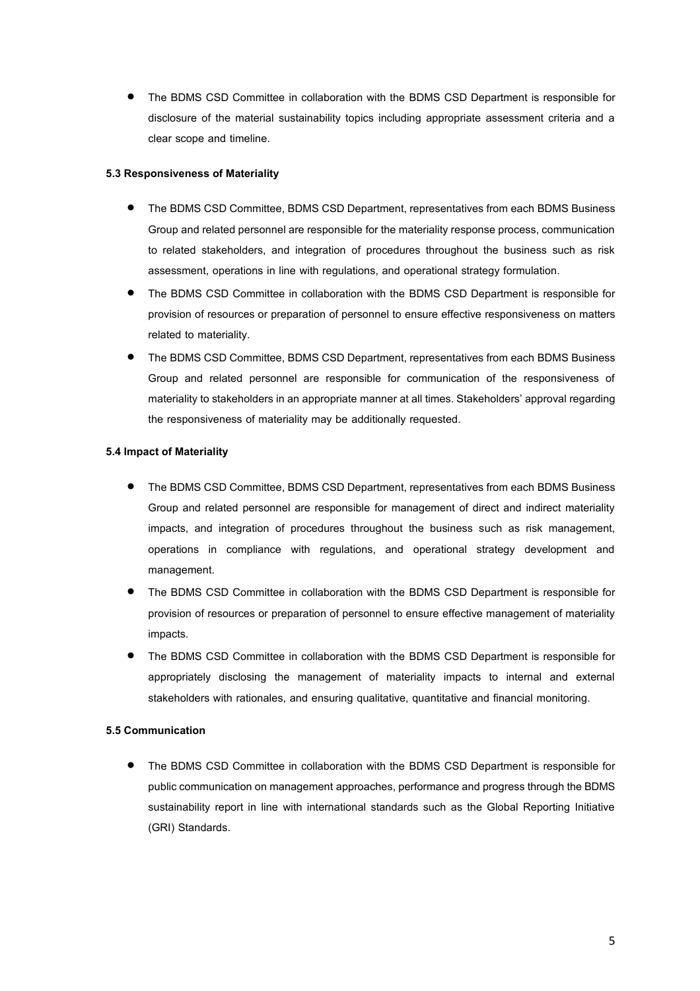The BDMS CSD Committee in collaboration with the BDMS CSD Department is responsible for disclosure of the material sustainability topics including appropriate assessment criteria and a clear scope and timeline.

## **5.3 Responsiveness of Materiality**

- The BDMS CSD Committee, BDMS CSD Department, representatives from each BDMS Business Group and related personnel are responsible for the materiality response process, communication to related stakeholders, and integration of procedures throughout the business such as risk assessment, operations in line with regulations, and operational strategy formulation.
- The BDMS CSD Committee in collaboration with the BDMS CSD Department is responsible for provision of resources or preparation of personnel to ensure effective responsiveness on matters related to materiality.
- The BDMS CSD Committee, BDMS CSD Department, representatives from each BDMS Business Group and related personnel are responsible for communication of the responsiveness of materiality to stakeholders in an appropriate manner at all times. Stakeholders' approval regarding the responsiveness of materiality may be additionally requested.

# **5.4 Impact of Materiality**

- The BDMS CSD Committee, BDMS CSD Department, representatives from each BDMS Business Group and related personnel are responsible for management of direct and indirect materiality impacts, and integration of procedures throughout the business such as risk management, operations in compliance with regulations, and operational strategy development and management.
- The BDMS CSD Committee in collaboration with the BDMS CSD Department is responsible for provision of resources or preparation of personnel to ensure effective management of materiality impacts.
- The BDMS CSD Committee in collaboration with the BDMS CSD Department is responsible for appropriately disclosing the management of materiality impacts to internal and external stakeholders with rationales, and ensuring qualitative, quantitative and financial monitoring.

## **5.5 Communication**

 The BDMS CSD Committee in collaboration with the BDMS CSD Department is responsible for public communication on management approaches, performance and progress through the BDMS sustainability report in line with international standards such as the Global Reporting Initiative (GRI) Standards.